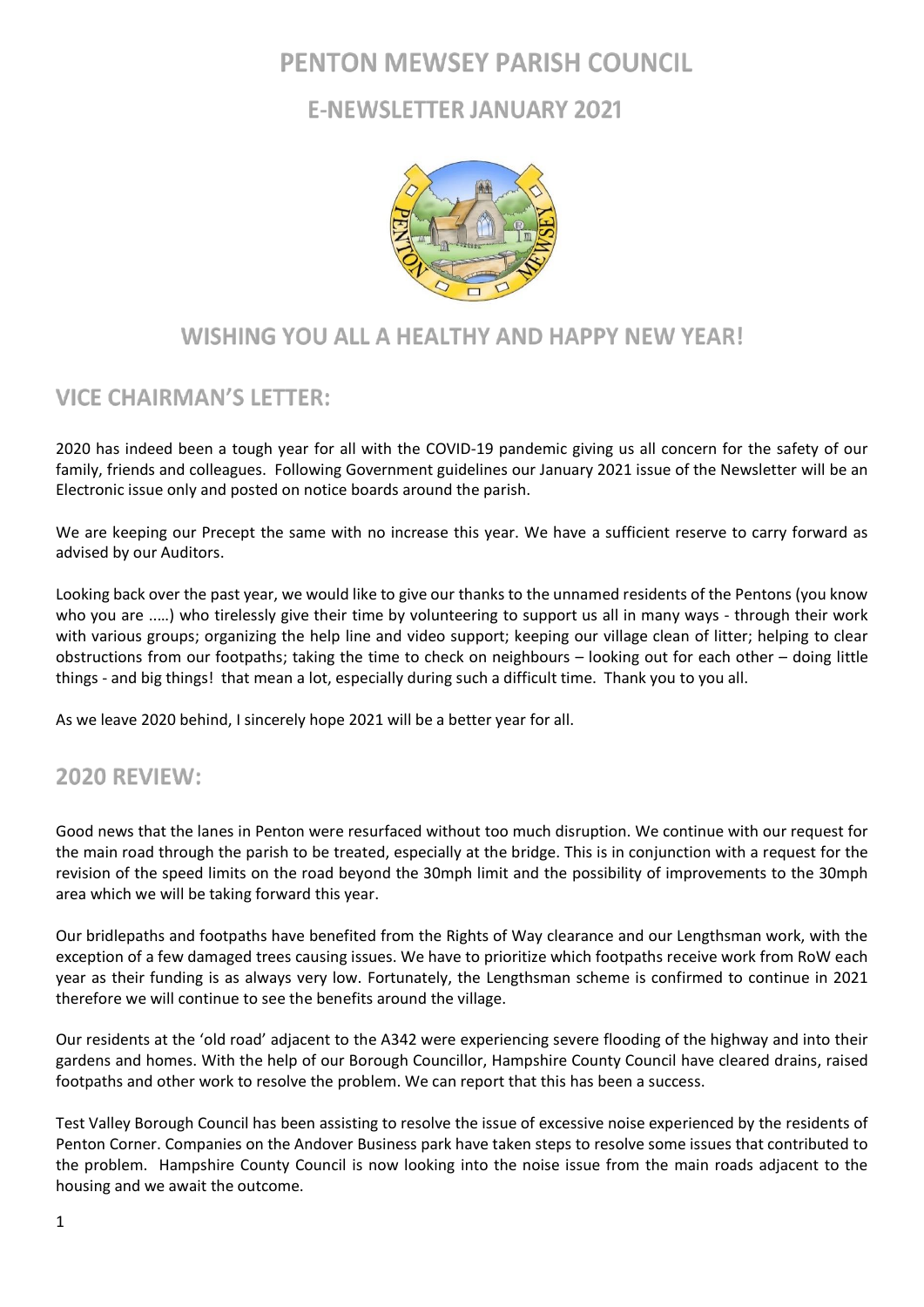# **PENTON MEWSEY PARISH COUNCIL**

# **E-NEWSLETTER JANUARY 2021**



## WISHING YOU ALL A HEALTHY AND HAPPY NEW YEAR!

## **VICE CHAIRMAN'S LETTER:**

2020 has indeed been a tough year for all with the COVID-19 pandemic giving us all concern for the safety of our family, friends and colleagues. Following Government guidelines our January 2021 issue of the Newsletter will be an Electronic issue only and posted on notice boards around the parish.

We are keeping our Precept the same with no increase this year. We have a sufficient reserve to carry forward as advised by our Auditors.

Looking back over the past year, we would like to give our thanks to the unnamed residents of the Pentons (you know who you are .....) who tirelessly give their time by volunteering to support us all in many ways - through their work with various groups; organizing the help line and video support; keeping our village clean of litter; helping to clear obstructions from our footpaths; taking the time to check on neighbours – looking out for each other – doing little things - and big things! that mean a lot, especially during such a difficult time. Thank you to you all.

As we leave 2020 behind, I sincerely hope 2021 will be a better year for all.

## **2020 REVIEW:**

Good news that the lanes in Penton were resurfaced without too much disruption. We continue with our request for the main road through the parish to be treated, especially at the bridge. This is in conjunction with a request for the revision of the speed limits on the road beyond the 30mph limit and the possibility of improvements to the 30mph area which we will be taking forward this year.

Our bridlepaths and footpaths have benefited from the Rights of Way clearance and our Lengthsman work, with the exception of a few damaged trees causing issues. We have to prioritize which footpaths receive work from RoW each year as their funding is as always very low. Fortunately, the Lengthsman scheme is confirmed to continue in 2021 therefore we will continue to see the benefits around the village.

Our residents at the 'old road' adjacent to the A342 were experiencing severe flooding of the highway and into their gardens and homes. With the help of our Borough Councillor, Hampshire County Council have cleared drains, raised footpaths and other work to resolve the problem. We can report that this has been a success.

Test Valley Borough Council has been assisting to resolve the issue of excessive noise experienced by the residents of Penton Corner. Companies on the Andover Business park have taken steps to resolve some issues that contributed to the problem. Hampshire County Council is now looking into the noise issue from the main roads adjacent to the housing and we await the outcome.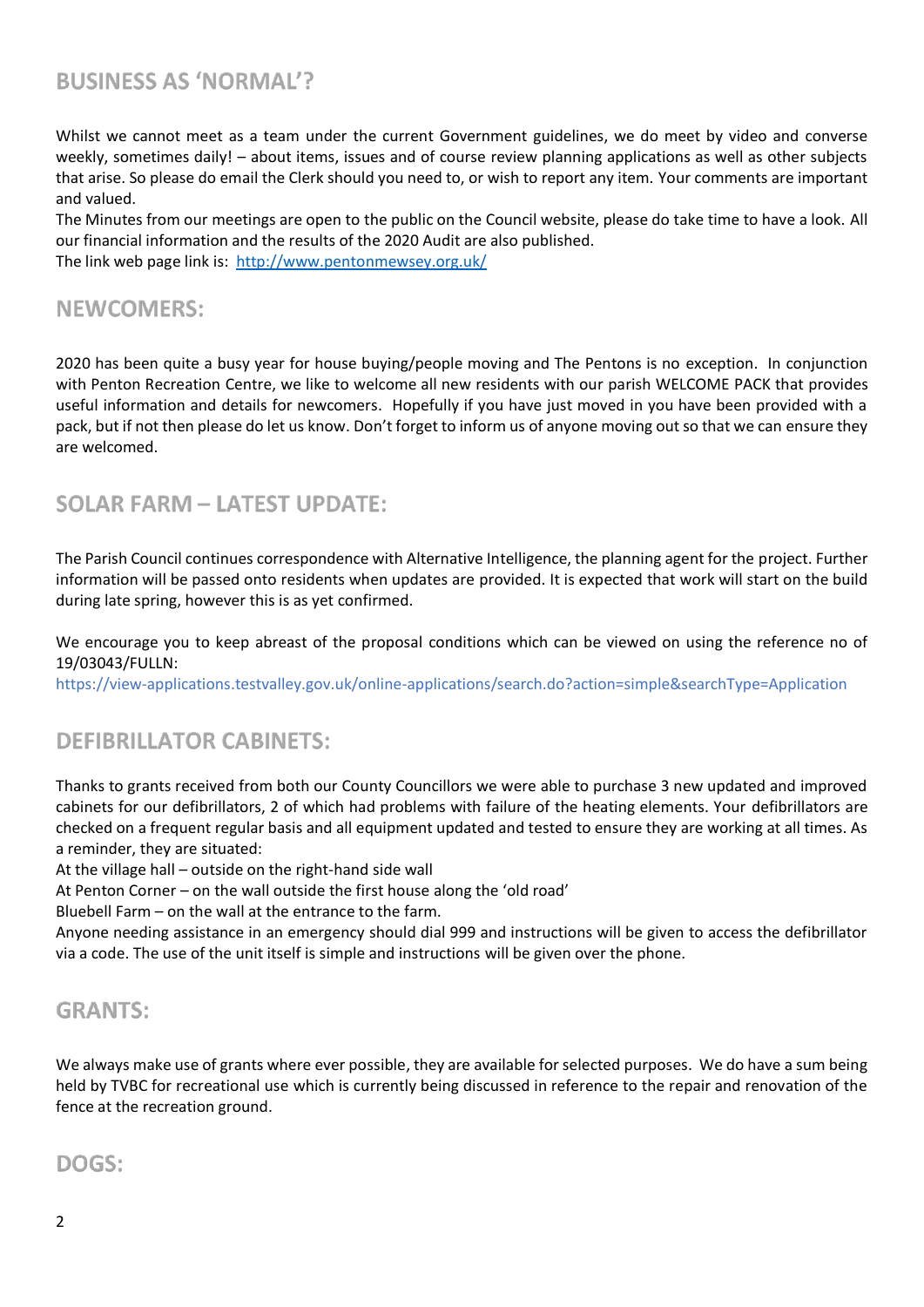## **BUSINESS AS 'NORMAL'?**

Whilst we cannot meet as a team under the current Government guidelines, we do meet by video and converse weekly, sometimes daily! – about items, issues and of course review planning applications as well as other subjects that arise. So please do email the Clerk should you need to, or wish to report any item. Your comments are important and valued.

The Minutes from our meetings are open to the public on the Council website, please do take time to have a look. All our financial information and the results of the 2020 Audit are also published. The link web page link is: <http://www.pentonmewsey.org.uk/>

#### **NEWCOMERS:**

2020 has been quite a busy year for house buying/people moving and The Pentons is no exception. In conjunction with Penton Recreation Centre, we like to welcome all new residents with our parish WELCOME PACK that provides useful information and details for newcomers. Hopefully if you have just moved in you have been provided with a pack, but if not then please do let us know. Don't forget to inform us of anyone moving out so that we can ensure they are welcomed.

### **SOLAR FARM - LATEST UPDATE:**

The Parish Council continues correspondence with Alternative Intelligence, the planning agent for the project. Further information will be passed onto residents when updates are provided. It is expected that work will start on the build during late spring, however this is as yet confirmed.

We encourage you to keep abreast of the proposal conditions which can be viewed on using the reference no of 19/03043/FULLN:

https://view-applications.testvalley.gov.uk/online-applications/search.do?action=simple&searchType=Application

#### **DEFIBRILLATOR CABINETS:**

Thanks to grants received from both our County Councillors we were able to purchase 3 new updated and improved cabinets for our defibrillators, 2 of which had problems with failure of the heating elements. Your defibrillators are checked on a frequent regular basis and all equipment updated and tested to ensure they are working at all times. As a reminder, they are situated:

At the village hall – outside on the right-hand side wall

At Penton Corner – on the wall outside the first house along the 'old road'

Bluebell Farm – on the wall at the entrance to the farm.

Anyone needing assistance in an emergency should dial 999 and instructions will be given to access the defibrillator via a code. The use of the unit itself is simple and instructions will be given over the phone.

#### **GRANTS:**

We always make use of grants where ever possible, they are available for selected purposes. We do have a sum being held by TVBC for recreational use which is currently being discussed in reference to the repair and renovation of the fence at the recreation ground.

### DOGS: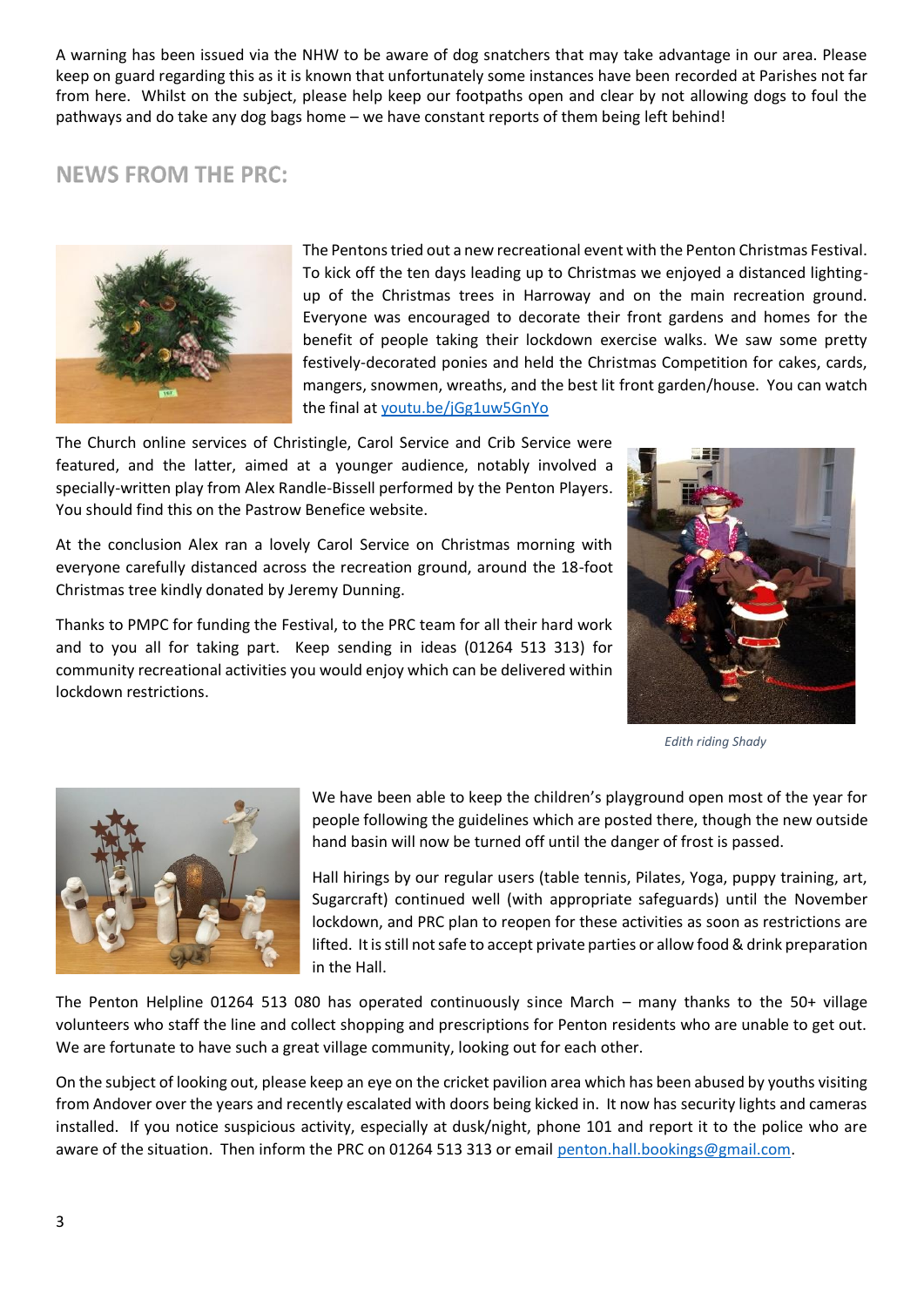A warning has been issued via the NHW to be aware of dog snatchers that may take advantage in our area. Please keep on guard regarding this as it is known that unfortunately some instances have been recorded at Parishes not far from here. Whilst on the subject, please help keep our footpaths open and clear by not allowing dogs to foul the pathways and do take any dog bags home – we have constant reports of them being left behind!

## **NEWS FROM THE PRC:**



The Pentons tried out a new recreational event with the Penton Christmas Festival. To kick off the ten days leading up to Christmas we enjoyed a distanced lightingup of the Christmas trees in Harroway and on the main recreation ground. Everyone was encouraged to decorate their front gardens and homes for the benefit of people taking their lockdown exercise walks. We saw some pretty festively-decorated ponies and held the Christmas Competition for cakes, cards, mangers, snowmen, wreaths, and the best lit front garden/house. You can watch the final at [youtu.be/jGg1uw5GnYo](https://www.youtube.com/watch?v=jGg1uw5GnYo&feature=youtu.be)

The Church online services of Christingle, Carol Service and Crib Service were featured, and the latter, aimed at a younger audience, notably involved a specially-written play from Alex Randle-Bissell performed by the Penton Players. You should find this on the Pastrow Benefice website.

At the conclusion Alex ran a lovely Carol Service on Christmas morning with everyone carefully distanced across the recreation ground, around the 18-foot Christmas tree kindly donated by Jeremy Dunning.

Thanks to PMPC for funding the Festival, to the PRC team for all their hard work and to you all for taking part. Keep sending in ideas (01264 513 313) for community recreational activities you would enjoy which can be delivered within lockdown restrictions.



*Edith riding Shady*



We have been able to keep the children's playground open most of the year for people following the guidelines which are posted there, though the new outside hand basin will now be turned off until the danger of frost is passed.

Hall hirings by our regular users (table tennis, Pilates, Yoga, puppy training, art, Sugarcraft) continued well (with appropriate safeguards) until the November lockdown, and PRC plan to reopen for these activities as soon as restrictions are lifted. It is still not safe to accept private parties or allow food & drink preparation in the Hall.

The Penton Helpline 01264 513 080 has operated continuously since March – many thanks to the 50+ village volunteers who staff the line and collect shopping and prescriptions for Penton residents who are unable to get out. We are fortunate to have such a great village community, looking out for each other.

On the subject of looking out, please keep an eye on the cricket pavilion area which has been abused by youths visiting from Andover over the years and recently escalated with doors being kicked in. It now has security lights and cameras installed. If you notice suspicious activity, especially at dusk/night, phone 101 and report it to the police who are aware of the situation. Then inform the PRC on 01264 513 313 or email [penton.hall.bookings@gmail.com.](mailto:penton.hall.bookings@gmail.com)